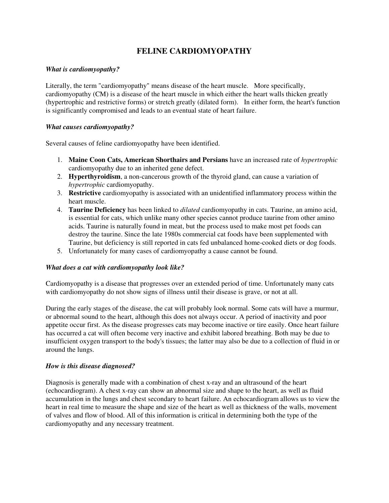# **FELINE CARDIOMYOPATHY**

# *What is cardiomyopathy?*

Literally, the term "cardiomyopathy" means disease of the heart muscle. More specifically, cardiomyopathy (CM) is a disease of the heart muscle in which either the heart walls thicken greatly (hypertrophic and restrictive forms) or stretch greatly (dilated form). In either form, the heart's function is significantly compromised and leads to an eventual state of heart failure.

# *What causes cardiomyopathy?*

Several causes of feline cardiomyopathy have been identified.

- 1. **Maine Coon Cats, American Shorthairs and Persians** have an increased rate of *hypertrophic*  cardiomyopathy due to an inherited gene defect.
- 2. **Hyperthyroidism**, a non-cancerous growth of the thyroid gland, can cause a variation of *hypertrophic* cardiomyopathy.
- 3. **Restrictive** cardiomyopathy is associated with an unidentified inflammatory process within the heart muscle.
- 4. **Taurine Deficiency** has been linked to *dilated* cardiomyopathy in cats. Taurine, an amino acid, is essential for cats, which unlike many other species cannot produce taurine from other amino acids. Taurine is naturally found in meat, but the process used to make most pet foods can destroy the taurine. Since the late 1980s commercial cat foods have been supplemented with Taurine, but deficiency is still reported in cats fed unbalanced home-cooked diets or dog foods.
- 5. Unfortunately for many cases of cardiomyopathy a cause cannot be found.

#### *What does a cat with cardiomyopathy look like?*

Cardiomyopathy is a disease that progresses over an extended period of time. Unfortunately many cats with cardiomyopathy do not show signs of illness until their disease is grave, or not at all.

During the early stages of the disease, the cat will probably look normal. Some cats will have a murmur, or abnormal sound to the heart, although this does not always occur. A period of inactivity and poor appetite occur first. As the disease progresses cats may become inactive or tire easily. Once heart failure has occurred a cat will often become very inactive and exhibit labored breathing. Both may be due to insufficient oxygen transport to the body's tissues; the latter may also be due to a collection of fluid in or around the lungs.

#### *How is this disease diagnosed?*

Diagnosis is generally made with a combination of chest x-ray and an ultrasound of the heart (echocardiogram). A chest x-ray can show an abnormal size and shape to the heart, as well as fluid accumulation in the lungs and chest secondary to heart failure. An echocardiogram allows us to view the heart in real time to measure the shape and size of the heart as well as thickness of the walls, movement of valves and flow of blood. All of this information is critical in determining both the type of the cardiomyopathy and any necessary treatment.